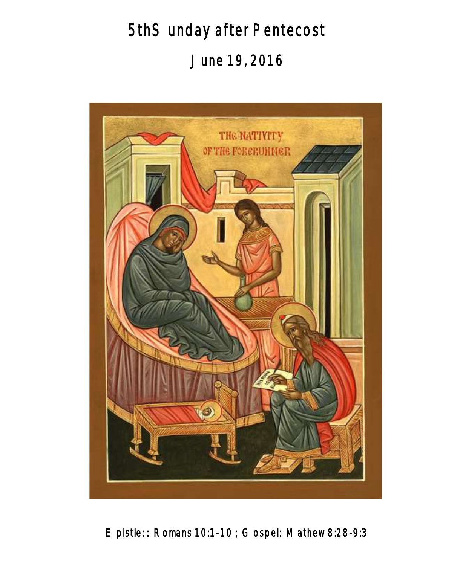5thSunday after Pentecost June 19, 2016



Epistle: : Romans 10:1-10 ; Gospel: Mathew 8:28-9:3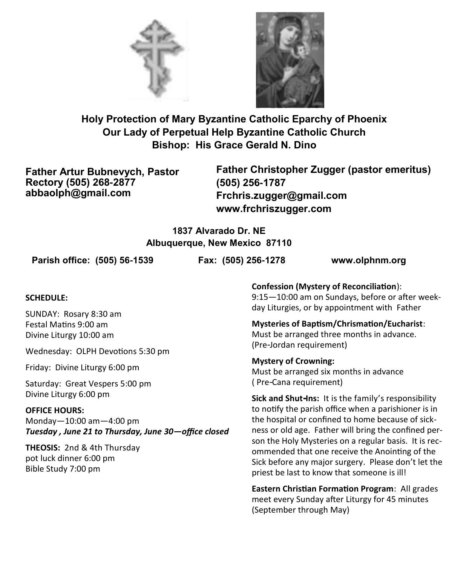



**Holy Protection of Mary Byzantine Catholic Eparchy of Phoenix Our Lady of Perpetual Help Byzantine Catholic Church Bishop: His Grace Gerald N. Dino**

**Father Artur Bubnevych, Pastor Rectory (505) 268-2877 abbaolph@gmail.com**

**Father Christopher Zugger (pastor emeritus) (505) 256-1787 Frchris.zugger@gmail.com www.frchriszugger.com** 

## **1837 Alvarado Dr. NE Albuquerque, New Mexico 87110**

**Parish office: (505) 56-1539 Fax: (505) 256-1278 www.olphnm.org**

#### **SCHEDULE:**

SUNDAY: Rosary 8:30 am Festal Matins 9:00 am Divine Liturgy 10:00 am

Wednesday: OLPH Devotions 5:30 pm

Friday: Divine Liturgy 6:00 pm

Saturday: Great Vespers 5:00 pm Divine Liturgy 6:00 pm

#### **OFFICE HOURS:**

Monday—10:00 am—4:00 pm *Tuesday , June 21 to Thursday, June 30—office closed* 

**THEOSIS:** 2nd & 4th Thursday pot luck dinner 6:00 pm Bible Study 7:00 pm

**Confession (Mystery of Reconciliation**): 9:15—10:00 am on Sundays, before or after weekday Liturgies, or by appointment with Father

**Mysteries of Baptism/Chrismation/Eucharist**: Must be arranged three months in advance. (Pre-Jordan requirement)

**Mystery of Crowning:**  Must be arranged six months in advance ( Pre-Cana requirement)

**Sick and Shut-Ins:** It is the family's responsibility to notify the parish office when a parishioner is in the hospital or confined to home because of sickness or old age. Father will bring the confined person the Holy Mysteries on a regular basis. It is recommended that one receive the Anointing of the Sick before any major surgery. Please don't let the priest be last to know that someone is ill!

**Eastern Christian Formation Program**: All grades meet every Sunday after Liturgy for 45 minutes (September through May)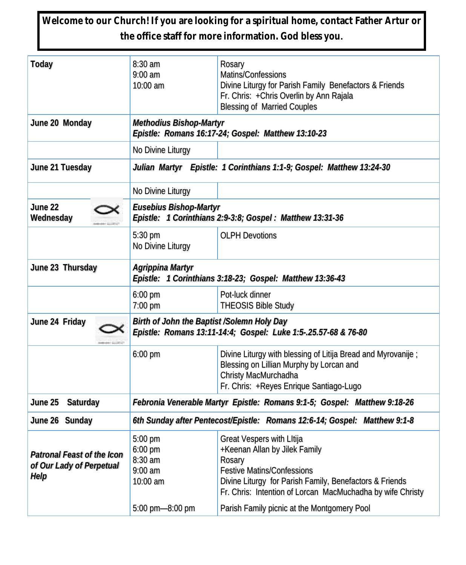**Welcome to our Church! If you are looking for a spiritual home, contact Father Artur or the office staff for more information. God bless you.**

| Today                                                          | 8:30 am<br>$9:00$ am<br>10:00 am                                                                             | Rosary<br>Matins/Confessions<br>Divine Liturgy for Parish Family Benefactors & Friends<br>Fr. Chris: + Chris Overlin by Ann Rajala<br><b>Blessing of Married Couples</b>                                                                                                          |  |
|----------------------------------------------------------------|--------------------------------------------------------------------------------------------------------------|-----------------------------------------------------------------------------------------------------------------------------------------------------------------------------------------------------------------------------------------------------------------------------------|--|
| June 20 Monday                                                 | Methodius Bishop-Martyr<br>Epistle: Romans 16:17-24; Gospel: Matthew 13:10-23                                |                                                                                                                                                                                                                                                                                   |  |
|                                                                | No Divine Liturgy                                                                                            |                                                                                                                                                                                                                                                                                   |  |
| June 21 Tuesday                                                | Julian Martyr Epistle: 1 Corinthians 1:1-9; Gospel: Matthew 13:24-30                                         |                                                                                                                                                                                                                                                                                   |  |
|                                                                | No Divine Liturgy                                                                                            |                                                                                                                                                                                                                                                                                   |  |
| June 22<br>Wednesday                                           | Eusebius Bishop-Martyr<br>Epistle: 1 Corinthians 2:9-3:8; Gospel: Matthew 13:31-36                           |                                                                                                                                                                                                                                                                                   |  |
|                                                                | 5:30 pm<br>No Divine Liturgy                                                                                 | <b>OLPH Devotions</b>                                                                                                                                                                                                                                                             |  |
| June 23 Thursday                                               | Agrippina Martyr<br>Epistle: 1 Corinthians 3:18-23; Gospel: Matthew 13:36-43                                 |                                                                                                                                                                                                                                                                                   |  |
|                                                                | 6:00 pm<br>7:00 pm                                                                                           | Pot-luck dinner<br>THEOSIS Bible Study                                                                                                                                                                                                                                            |  |
| June 24 Friday                                                 | Birth of John the Baptist /Solemn Holy Day<br>Epistle: Romans 13:11-14:4; Gospel: Luke 1:5-.25.57-68 & 76-80 |                                                                                                                                                                                                                                                                                   |  |
|                                                                | 6:00 pm                                                                                                      | Divine Liturgy with blessing of Litija Bread and Myrovanije;<br>Blessing on Lillian Murphy by Lorcan and<br>Christy MacMurchadha<br>Fr. Chris: +Reyes Enrique Santiago-Lugo                                                                                                       |  |
| June 25<br>Saturday                                            | Febronia Venerable Martyr Epistle: Romans 9:1-5; Gospel: Matthew 9:18-26                                     |                                                                                                                                                                                                                                                                                   |  |
| June 26 Sunday                                                 | 6th Sunday after Pentecost/Epistle: Romans 12:6-14; Gospel: Matthew 9:1-8                                    |                                                                                                                                                                                                                                                                                   |  |
| Patronal Feast of the Icon<br>of Our Lady of Perpetual<br>Help | 5:00 pm<br>6:00 pm<br>8:30 am<br>$9:00$ am<br>10:00 am<br>5:00 pm-8:00 pm                                    | Great Vespers with Litija<br>+Keenan Allan by Jilek Family<br>Rosary<br><b>Festive Matins/Confessions</b><br>Divine Liturgy for Parish Family, Benefactors & Friends<br>Fr. Chris: Intention of Lorcan MacMuchadha by wife Christy<br>Parish Family picnic at the Montgomery Pool |  |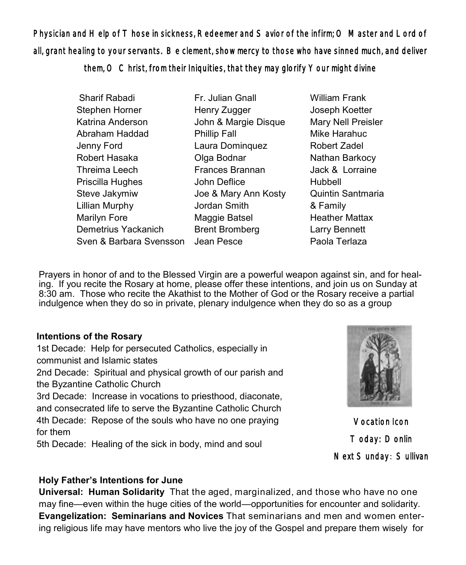Physician and Help of Those in sickness, Redeemer and Savior of the infirm; O Master and Lord of all, grant healing to your servants. Be clement, show mercy to those who have sinned much, and deliver them, O Christ, from their Iniquities, that they may glorify Your might divine

| Sharif Rabadi           | Fr. Julian Gnall      |  |  |
|-------------------------|-----------------------|--|--|
| Stephen Horner          | Henry Zugger          |  |  |
| Katrina Anderson        | John & Margie Disque  |  |  |
| Abraham Haddad          | <b>Phillip Fall</b>   |  |  |
| Jenny Ford              | Laura Dominquez       |  |  |
| Robert Hasaka           | Olga Bodnar           |  |  |
| Threima Leech           | Frances Brannan       |  |  |
| Priscilla Hughes        | John Deflice          |  |  |
| Steve Jakymiw           | Joe & Mary Ann Kosty  |  |  |
| <b>Lillian Murphy</b>   | Jordan Smith          |  |  |
| Marilyn Fore            | Maggie Batsel         |  |  |
| Demetrius Yackanich     | <b>Brent Bromberg</b> |  |  |
| Sven & Barbara Svensson | Jean Pesce            |  |  |

William Frank Joseph Koetter Mary Nell Preisler Mike Harahuc Robert Zadel Nathan Barkocy Jack & Lorraine Hubbell Quintin Santmaria & Family Heather Mattax Larry Bennett Paola Terlaza

Prayers in honor of and to the Blessed Virgin are a powerful weapon against sin, and for healing. If you recite the Rosary at home, please offer these intentions, and join us on Sunday at 8:30 am. Those who recite the Akathist to the Mother of God or the Rosary receive a partial indulgence when they do so in private, plenary indulgence when they do so as a group

#### **Intentions of the Rosary**

1st Decade: Help for persecuted Catholics, especially in communist and Islamic states 2nd Decade: Spiritual and physical growth of our parish and the Byzantine Catholic Church 3rd Decade: Increase in vocations to priesthood, diaconate, and consecrated life to serve the Byzantine Catholic Church 4th Decade: Repose of the souls who have no one praying for them

5th Decade: Healing of the sick in body, mind and soul



Vocation Icon Today: Donlin Next Sunday: Sullivan

## **Holy Father's Intentions for June**

**Universal: Human Solidarity** That the aged, marginalized, and those who have no one may fine—even within the huge cities of the world—opportunities for encounter and solidarity. **Evangelization: Seminarians and Novices** That seminarians and men and women entering religious life may have mentors who live the joy of the Gospel and prepare them wisely for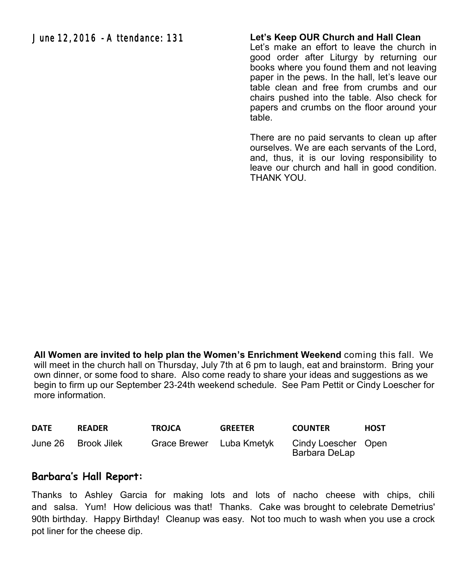June 12, 2016 - Attendance: 131

#### **Let's Keep OUR Church and Hall Clean**

Let's make an effort to leave the church in good order after Liturgy by returning our books where you found them and not leaving paper in the pews. In the hall, let's leave our table clean and free from crumbs and our chairs pushed into the table. Also check for papers and crumbs on the floor around your table.

There are no paid servants to clean up after ourselves. We are each servants of the Lord, and, thus, it is our loving responsibility to leave our church and hall in good condition. THANK YOU.

**All Women are invited to help plan the Women's Enrichment Weekend** coming this fall. We will meet in the church hall on Thursday, July 7th at 6 pm to laugh, eat and brainstorm. Bring your own dinner, or some food to share. Also come ready to share your ideas and suggestions as we begin to firm up our September 23-24th weekend schedule. See Pam Pettit or Cindy Loescher for more information.

| <b>DATE</b> | <b>READER</b> | <b>TROJCA</b> | <b>GREETER</b> | <b>COUNTER</b>                       | <b>HOST</b> |
|-------------|---------------|---------------|----------------|--------------------------------------|-------------|
| June 26     | – Brook Jilek | Grace Brewer  | Luba Kmetvk    | Cindy Loescher Open<br>Barbara DeLap |             |

## **Barbara's Hall Report:**

Thanks to Ashley Garcia for making lots and lots of nacho cheese with chips, chili and salsa. Yum! How delicious was that! Thanks. Cake was brought to celebrate Demetrius' 90th birthday. Happy Birthday! Cleanup was easy. Not too much to wash when you use a crock pot liner for the cheese dip.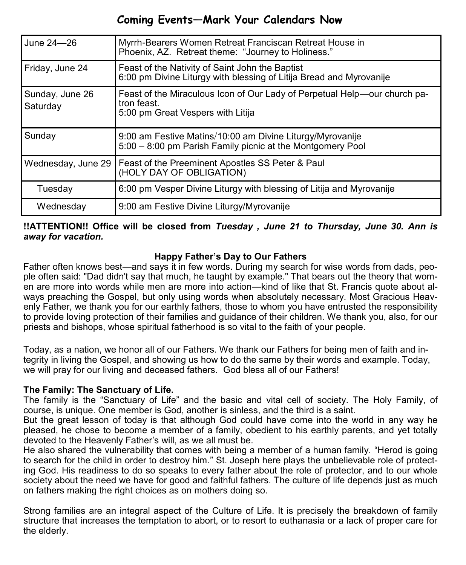## **Coming Events—Mark Your Calendars Now**

| June 24-26                  | Myrrh-Bearers Women Retreat Franciscan Retreat House in<br>Phoenix, AZ. Retreat theme: "Journey to Holiness."                 |
|-----------------------------|-------------------------------------------------------------------------------------------------------------------------------|
| Friday, June 24             | Feast of the Nativity of Saint John the Baptist<br>6:00 pm Divine Liturgy with blessing of Litija Bread and Myrovanije        |
| Sunday, June 26<br>Saturday | Feast of the Miraculous Icon of Our Lady of Perpetual Help—our church pa-<br>tron feast.<br>5:00 pm Great Vespers with Litija |
| Sunday                      | 9:00 am Festive Matins/10:00 am Divine Liturgy/Myrovanije<br>5:00 - 8:00 pm Parish Family picnic at the Montgomery Pool       |
| Wednesday, June 29          | Feast of the Preeminent Apostles SS Peter & Paul<br>(HOLY DAY OF OBLIGATION)                                                  |
| Tuesday                     | 6:00 pm Vesper Divine Liturgy with blessing of Litija and Myrovanije                                                          |
| Wednesday                   | 9:00 am Festive Divine Liturgy/Myrovanije                                                                                     |

#### **!!ATTENTION!! Office will be closed from** *Tuesday , June 21 to Thursday, June 30. Ann is away for vacation.*

## **Happy Father's Day to Our Fathers**

Father often knows best—and says it in few words. During my search for wise words from dads, people often said: "Dad didn't say that much, he taught by example." That bears out the theory that women are more into words while men are more into action—kind of like that St. Francis quote about always preaching the Gospel, but only using words when absolutely necessary. Most Gracious Heavenly Father, we thank you for our earthly fathers, those to whom you have entrusted the responsibility to provide loving protection of their families and guidance of their children. We thank you, also, for our priests and bishops, whose spiritual fatherhood is so vital to the faith of your people.

Today, as a nation, we honor all of our Fathers. We thank our Fathers for being men of faith and integrity in living the Gospel, and showing us how to do the same by their words and example. Today, we will pray for our living and deceased fathers. God bless all of our Fathers!

## **The Family: The Sanctuary of Life.**

The family is the "Sanctuary of Life" and the basic and vital cell of society. The Holy Family, of course, is unique. One member is God, another is sinless, and the third is a saint.

But the great lesson of today is that although God could have come into the world in any way he pleased, he chose to become a member of a family, obedient to his earthly parents, and yet totally devoted to the Heavenly Father's will, as we all must be.

He also shared the vulnerability that comes with being a member of a human family. "Herod is going to search for the child in order to destroy him." St. Joseph here plays the unbelievable role of protecting God. His readiness to do so speaks to every father about the role of protector, and to our whole society about the need we have for good and faithful fathers. The culture of life depends just as much on fathers making the right choices as on mothers doing so.

Strong families are an integral aspect of the Culture of Life. It is precisely the breakdown of family structure that increases the temptation to abort, or to resort to euthanasia or a lack of proper care for the elderly.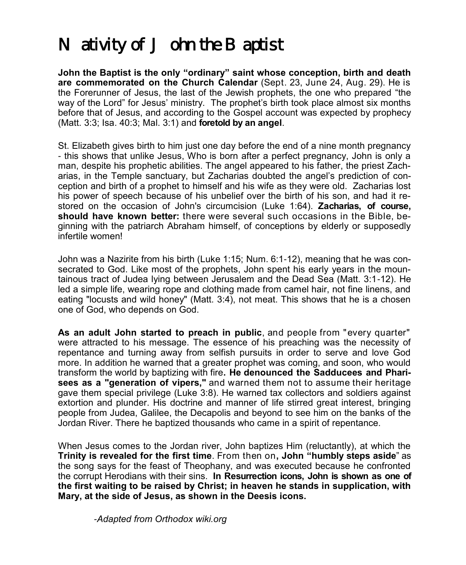# *Nativity of John the Baptist*

**John the Baptist is the only "ordinary" saint whose conception, birth and death are commemorated on the Church Calendar** (Sept. 23, June 24, Aug. 29). He is the Forerunner of Jesus, the last of the Jewish prophets, the one who prepared "the way of the Lord" for Jesus' ministry. The prophet's birth took place almost six months before that of Jesus, and according to the [Gospel](http://orthodoxwiki.org/Gospel) account was expected by prophecy [\(Matt.](http://orthodoxwiki.org/Gospel_of_Matthew) 3:3; Isa. 40:3; [Mal.](http://orthodoxwiki.org/index.php?title=Book_of_Malachi&action=edit&redlink=1) 3:1) and **foretold by an [angel](http://orthodoxwiki.org/Angel)**.

St. Elizabeth gives birth to him just one day before the end of a nine month pregnancy - this shows that unlike Jesus, Who is born after a perfect pregnancy, John is only a man, despite his prophetic abilities. The angel appeared to his father, the priest Zacharias, in the Temple sanctuary, but Zacharias doubted the angel's prediction of conception and birth of a prophet to himself and his wife as they were old. Zacharias lost his power of speech because of his unbelief over the birth of his son, and had it restored on the occasion of John's circumcision (Luke 1:64). **Zacharias, of course, should have known better:** there were several such occasions in the Bible, beginning with the patriarch Abraham himself, of conceptions by elderly or supposedly infertile women!

John was a [Nazirite](http://orthodoxwiki.org/Nazarite) from his birth (Luke 1:15; [Num.](http://orthodoxwiki.org/Numbers) 6:1-12), meaning that he was consecrated to God. Like most of the prophets, John spent his early years in the mountainous tract of Judea lying between Jerusalem and the Dead Sea (Matt. 3:1-12). He led a simple life, wearing rope and clothing made from camel hair, not fine linens, and eating "locusts and wild honey" (Matt. 3:4), not meat. This shows that he is a chosen one of God, who depends on God.

**As an adult John started to preach in public**, and people from "every quarter" were attracted to his message. The essence of his preaching was the necessity of repentance and turning away from selfish pursuits in order to serve and love God more. In addition he warned that a greater prophet was coming, and soon, who would transform the world by baptizing with fire**. He denounced the Sadducees and Pharisees as a "generation of vipers,"** and warned them not to assume their heritage gave them special privilege (Luke 3:8). He warned tax collectors and soldiers against extortion and plunder. His doctrine and manner of life stirred great interest, bringing people from Judea, Galilee, the Decapolis and beyond to see him on the banks of the Jordan River. There he baptized thousands who came in a spirit of repentance.

When Jesus comes to the Jordan river, John baptizes Him (reluctantly), at which the **Trinity is revealed for the first time**. From then on**, John "humbly steps aside**" as the song says for the feast of Theophany, and was executed because he confronted the corrupt Herodians with their sins. **In Resurrection icons, John is shown as one of the first waiting to be raised by Christ; in heaven he stands in supplication, with Mary, at the side of Jesus, as shown in the Deesis icons.** 

-*Adapted from Orthodox wiki.org*